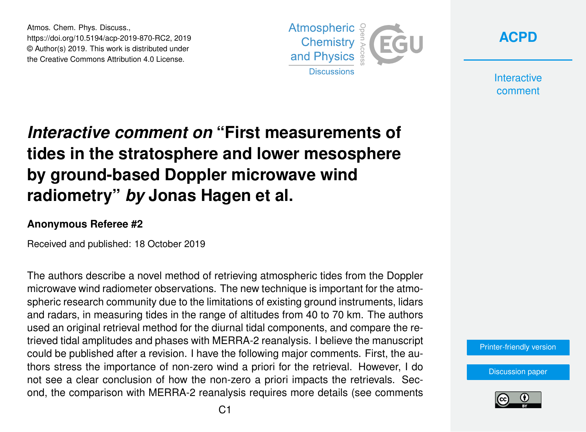Atmos. Chem. Phys. Discuss., https://doi.org/10.5194/acp-2019-870-RC2, 2019 © Author(s) 2019. This work is distributed under the Creative Commons Attribution 4.0 License.





**Interactive** comment

# *Interactive comment on* **"First measurements of tides in the stratosphere and lower mesosphere by ground-based Doppler microwave wind radiometry"** *by* **Jonas Hagen et al.**

### **Anonymous Referee #2**

Received and published: 18 October 2019

The authors describe a novel method of retrieving atmospheric tides from the Doppler microwave wind radiometer observations. The new technique is important for the atmospheric research community due to the limitations of existing ground instruments, lidars and radars, in measuring tides in the range of altitudes from 40 to 70 km. The authors used an original retrieval method for the diurnal tidal components, and compare the retrieved tidal amplitudes and phases with MERRA-2 reanalysis. I believe the manuscript could be published after a revision. I have the following major comments. First, the authors stress the importance of non-zero wind a priori for the retrieval. However, I do not see a clear conclusion of how the non-zero a priori impacts the retrievals. Second, the comparison with MERRA-2 reanalysis requires more details (see comments

[Printer-friendly version](https://www.atmos-chem-phys-discuss.net/acp-2019-870/acp-2019-870-RC2-print.pdf)

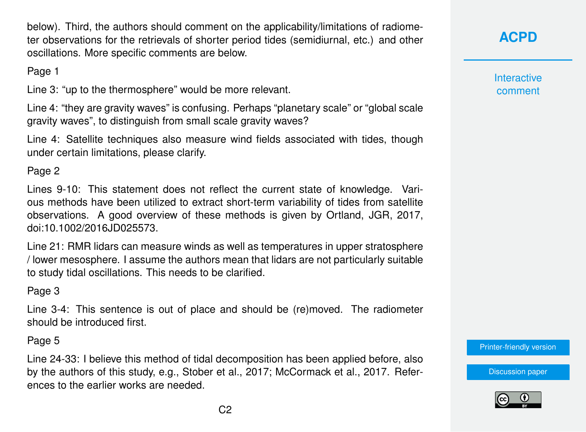below). Third, the authors should comment on the applicability/limitations of radiometer observations for the retrievals of shorter period tides (semidiurnal, etc.) and other oscillations. More specific comments are below.

Page 1

Line 3: "up to the thermosphere" would be more relevant.

Line 4: "they are gravity waves" is confusing. Perhaps "planetary scale" or "global scale gravity waves", to distinguish from small scale gravity waves?

Line 4: Satellite techniques also measure wind fields associated with tides, though under certain limitations, please clarify.

Page 2

Lines 9-10: This statement does not reflect the current state of knowledge. Various methods have been utilized to extract short-term variability of tides from satellite observations. A good overview of these methods is given by Ortland, JGR, 2017, doi:10.1002/2016JD025573.

Line 21: RMR lidars can measure winds as well as temperatures in upper stratosphere / lower mesosphere. I assume the authors mean that lidars are not particularly suitable to study tidal oscillations. This needs to be clarified.

### Page 3

Line 3-4: This sentence is out of place and should be (re)moved. The radiometer should be introduced first.

Page 5

Line 24-33: I believe this method of tidal decomposition has been applied before, also by the authors of this study, e.g., Stober et al., 2017; McCormack et al., 2017. References to the earlier works are needed.

# **[ACPD](https://www.atmos-chem-phys-discuss.net/)**

**Interactive** comment

[Printer-friendly version](https://www.atmos-chem-phys-discuss.net/acp-2019-870/acp-2019-870-RC2-print.pdf)

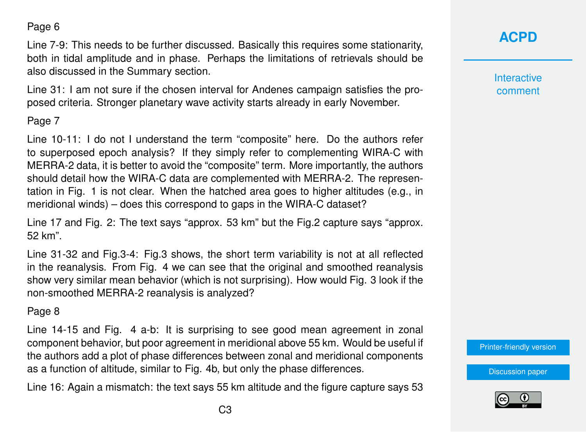Page 6

Line 7-9: This needs to be further discussed. Basically this requires some stationarity, both in tidal amplitude and in phase. Perhaps the limitations of retrievals should be also discussed in the Summary section.

Line 31: I am not sure if the chosen interval for Andenes campaign satisfies the proposed criteria. Stronger planetary wave activity starts already in early November.

#### Page 7

Line 10-11: I do not I understand the term "composite" here. Do the authors refer to superposed epoch analysis? If they simply refer to complementing WIRA-C with MERRA-2 data, it is better to avoid the "composite" term. More importantly, the authors should detail how the WIRA-C data are complemented with MERRA-2. The representation in Fig. 1 is not clear. When the hatched area goes to higher altitudes (e.g., in meridional winds) – does this correspond to gaps in the WIRA-C dataset?

Line 17 and Fig. 2: The text says "approx. 53 km" but the Fig.2 capture says "approx. 52 km".

Line 31-32 and Fig.3-4: Fig.3 shows, the short term variability is not at all reflected in the reanalysis. From Fig. 4 we can see that the original and smoothed reanalysis show very similar mean behavior (which is not surprising). How would Fig. 3 look if the non-smoothed MERRA-2 reanalysis is analyzed?

#### Page 8

Line 14-15 and Fig. 4 a-b: It is surprising to see good mean agreement in zonal component behavior, but poor agreement in meridional above 55 km. Would be useful if the authors add a plot of phase differences between zonal and meridional components as a function of altitude, similar to Fig. 4b, but only the phase differences.

Line 16: Again a mismatch: the text says 55 km altitude and the figure capture says 53

## **[ACPD](https://www.atmos-chem-phys-discuss.net/)**

**Interactive** comment

[Printer-friendly version](https://www.atmos-chem-phys-discuss.net/acp-2019-870/acp-2019-870-RC2-print.pdf)